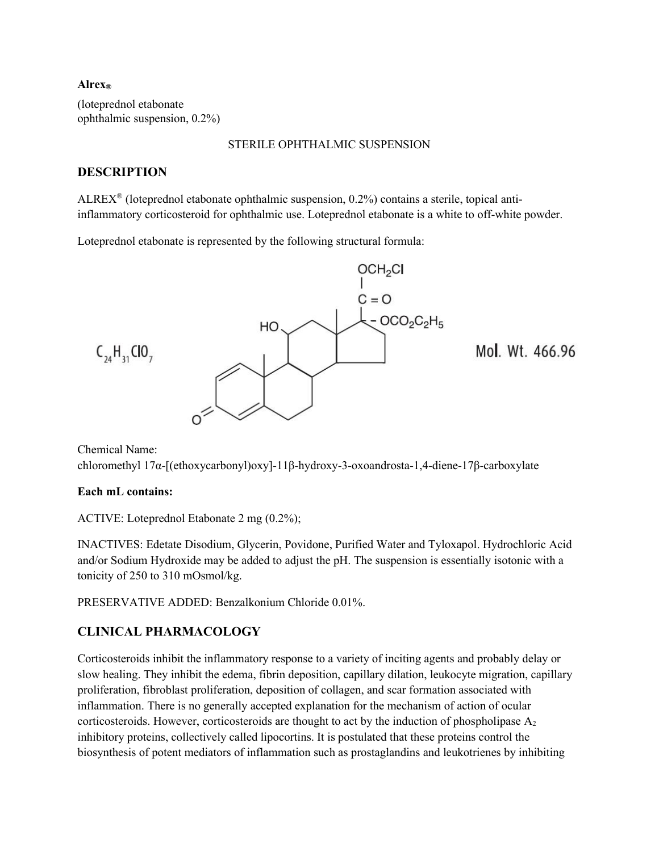#### **Alrex®**

(loteprednol etabonate ophthalmic suspension, 0.2%)

#### STERILE OPHTHALMIC SUSPENSION

### **DESCRIPTION**

ALREX® (loteprednol etabonate ophthalmic suspension, 0.2%) contains a sterile, topical antiinflammatory corticosteroid for ophthalmic use. Loteprednol etabonate is a white to off-white powder.

Loteprednol etabonate is represented by the following structural formula:



Chemical Name: chloromethyl 17α-[(ethoxycarbonyl)oxy]-11β-hydroxy-3-oxoandrosta-1,4-diene-17β-carboxylate

#### **Each mL contains:**

ACTIVE: Loteprednol Etabonate 2 mg (0.2%);

INACTIVES: Edetate Disodium, Glycerin, Povidone, Purified Water and Tyloxapol. Hydrochloric Acid and/or Sodium Hydroxide may be added to adjust the pH. The suspension is essentially isotonic with a tonicity of 250 to 310 mOsmol/kg.

PRESERVATIVE ADDED: Benzalkonium Chloride 0.01%.

## **CLINICAL PHARMACOLOGY**

Corticosteroids inhibit the inflammatory response to a variety of inciting agents and probably delay or slow healing. They inhibit the edema, fibrin deposition, capillary dilation, leukocyte migration, capillary proliferation, fibroblast proliferation, deposition of collagen, and scar formation associated with inflammation. There is no generally accepted explanation for the mechanism of action of ocular corticosteroids. However, corticosteroids are thought to act by the induction of phospholipase A2 inhibitory proteins, collectively called lipocortins. It is postulated that these proteins control the biosynthesis of potent mediators of inflammation such as prostaglandins and leukotrienes by inhibiting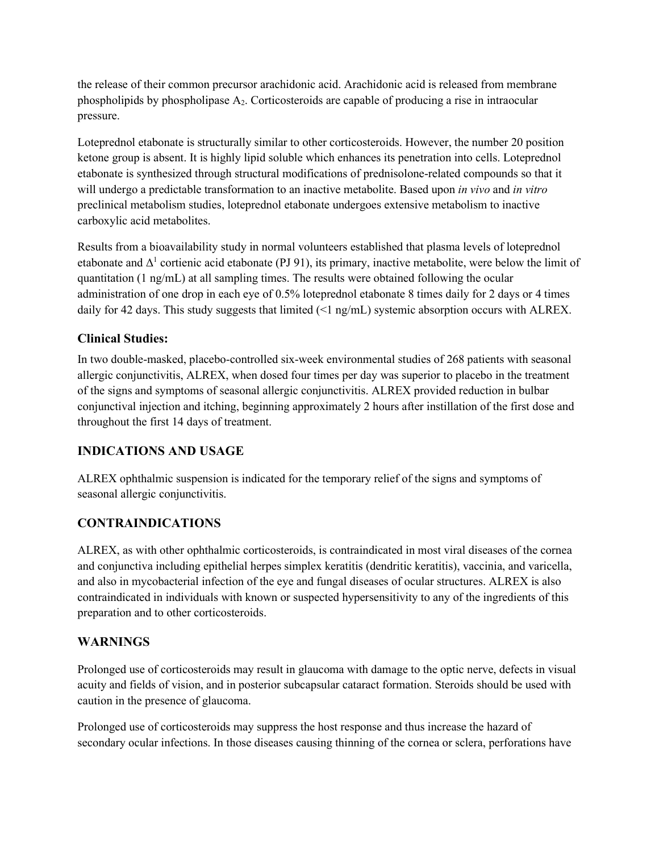the release of their common precursor arachidonic acid. Arachidonic acid is released from membrane phospholipids by phospholipase A2. Corticosteroids are capable of producing a rise in intraocular pressure.

Loteprednol etabonate is structurally similar to other corticosteroids. However, the number 20 position ketone group is absent. It is highly lipid soluble which enhances its penetration into cells. Loteprednol etabonate is synthesized through structural modifications of prednisolone-related compounds so that it will undergo a predictable transformation to an inactive metabolite. Based upon *in vivo* and *in vitro*  preclinical metabolism studies, loteprednol etabonate undergoes extensive metabolism to inactive carboxylic acid metabolites.

Results from a bioavailability study in normal volunteers established that plasma levels of loteprednol etabonate and  $\Delta^1$  cortienic acid etabonate (PJ 91), its primary, inactive metabolite, were below the limit of quantitation (1 ng/mL) at all sampling times. The results were obtained following the ocular administration of one drop in each eye of 0.5% loteprednol etabonate 8 times daily for 2 days or 4 times daily for 42 days. This study suggests that limited (<1 ng/mL) systemic absorption occurs with ALREX.

## **Clinical Studies:**

In two double-masked, placebo-controlled six-week environmental studies of 268 patients with seasonal allergic conjunctivitis, ALREX, when dosed four times per day was superior to placebo in the treatment of the signs and symptoms of seasonal allergic conjunctivitis. ALREX provided reduction in bulbar conjunctival injection and itching, beginning approximately 2 hours after instillation of the first dose and throughout the first 14 days of treatment.

# **INDICATIONS AND USAGE**

ALREX ophthalmic suspension is indicated for the temporary relief of the signs and symptoms of seasonal allergic conjunctivitis.

# **CONTRAINDICATIONS**

ALREX, as with other ophthalmic corticosteroids, is contraindicated in most viral diseases of the cornea and conjunctiva including epithelial herpes simplex keratitis (dendritic keratitis), vaccinia, and varicella, and also in mycobacterial infection of the eye and fungal diseases of ocular structures. ALREX is also contraindicated in individuals with known or suspected hypersensitivity to any of the ingredients of this preparation and to other corticosteroids.

# **WARNINGS**

Prolonged use of corticosteroids may result in glaucoma with damage to the optic nerve, defects in visual acuity and fields of vision, and in posterior subcapsular cataract formation. Steroids should be used with caution in the presence of glaucoma.

Prolonged use of corticosteroids may suppress the host response and thus increase the hazard of secondary ocular infections. In those diseases causing thinning of the cornea or sclera, perforations have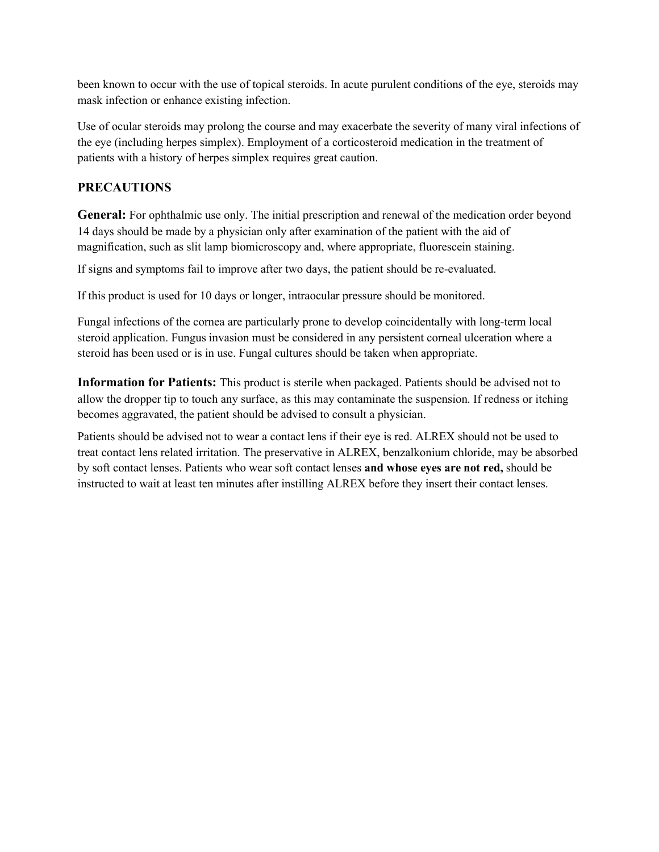been known to occur with the use of topical steroids. In acute purulent conditions of the eye, steroids may mask infection or enhance existing infection.

Use of ocular steroids may prolong the course and may exacerbate the severity of many viral infections of the eye (including herpes simplex). Employment of a corticosteroid medication in the treatment of patients with a history of herpes simplex requires great caution.

## **PRECAUTIONS**

**General:** For ophthalmic use only. The initial prescription and renewal of the medication order beyond 14 days should be made by a physician only after examination of the patient with the aid of magnification, such as slit lamp biomicroscopy and, where appropriate, fluorescein staining.

If signs and symptoms fail to improve after two days, the patient should be re-evaluated.

If this product is used for 10 days or longer, intraocular pressure should be monitored.

Fungal infections of the cornea are particularly prone to develop coincidentally with long-term local steroid application. Fungus invasion must be considered in any persistent corneal ulceration where a steroid has been used or is in use. Fungal cultures should be taken when appropriate.

**Information for Patients:** This product is sterile when packaged. Patients should be advised not to allow the dropper tip to touch any surface, as this may contaminate the suspension. If redness or itching becomes aggravated, the patient should be advised to consult a physician.

Patients should be advised not to wear a contact lens if their eye is red. ALREX should not be used to treat contact lens related irritation. The preservative in ALREX, benzalkonium chloride, may be absorbed by soft contact lenses. Patients who wear soft contact lenses **and whose eyes are not red,** should be instructed to wait at least ten minutes after instilling ALREX before they insert their contact lenses.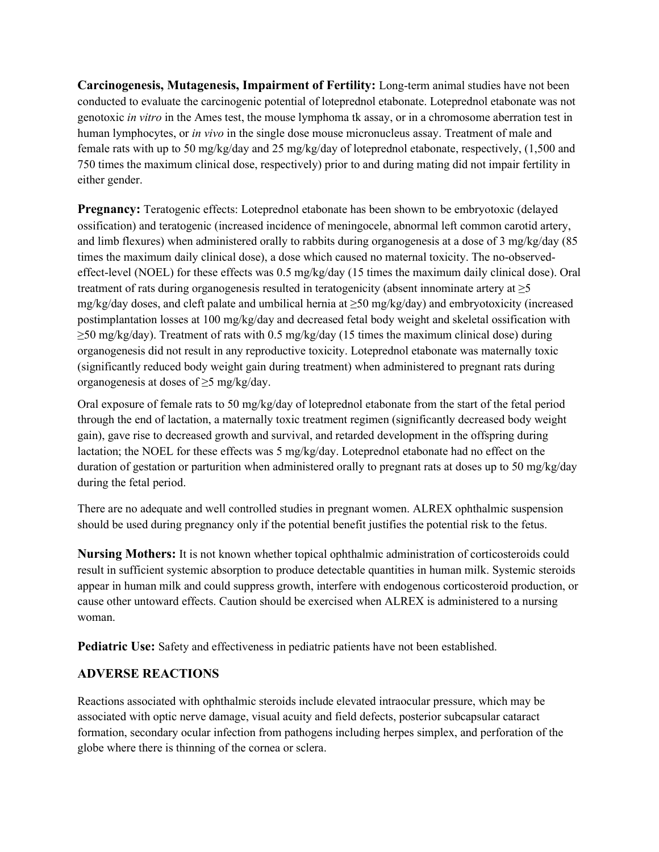**Carcinogenesis, Mutagenesis, Impairment of Fertility:** Long-term animal studies have not been conducted to evaluate the carcinogenic potential of loteprednol etabonate. Loteprednol etabonate was not genotoxic *in vitro* in the Ames test, the mouse lymphoma tk assay, or in a chromosome aberration test in human lymphocytes, or *in vivo* in the single dose mouse micronucleus assay. Treatment of male and female rats with up to 50 mg/kg/day and 25 mg/kg/day of loteprednol etabonate, respectively, (1,500 and 750 times the maximum clinical dose, respectively) prior to and during mating did not impair fertility in either gender.

**Pregnancy:** Teratogenic effects: Loteprednol etabonate has been shown to be embryotoxic (delayed ossification) and teratogenic (increased incidence of meningocele, abnormal left common carotid artery, and limb flexures) when administered orally to rabbits during organogenesis at a dose of 3 mg/kg/day (85 times the maximum daily clinical dose), a dose which caused no maternal toxicity. The no-observedeffect-level (NOEL) for these effects was 0.5 mg/kg/day (15 times the maximum daily clinical dose). Oral treatment of rats during organogenesis resulted in teratogenicity (absent innominate artery at ≥5 mg/kg/day doses, and cleft palate and umbilical hernia at  $\geq$ 50 mg/kg/day) and embryotoxicity (increased postimplantation losses at 100 mg/kg/day and decreased fetal body weight and skeletal ossification with  $\geq$ 50 mg/kg/day). Treatment of rats with 0.5 mg/kg/day (15 times the maximum clinical dose) during organogenesis did not result in any reproductive toxicity. Loteprednol etabonate was maternally toxic (significantly reduced body weight gain during treatment) when administered to pregnant rats during organogenesis at doses of ≥5 mg/kg/day.

Oral exposure of female rats to 50 mg/kg/day of loteprednol etabonate from the start of the fetal period through the end of lactation, a maternally toxic treatment regimen (significantly decreased body weight gain), gave rise to decreased growth and survival, and retarded development in the offspring during lactation; the NOEL for these effects was 5 mg/kg/day. Loteprednol etabonate had no effect on the duration of gestation or parturition when administered orally to pregnant rats at doses up to 50 mg/kg/day during the fetal period.

There are no adequate and well controlled studies in pregnant women. ALREX ophthalmic suspension should be used during pregnancy only if the potential benefit justifies the potential risk to the fetus.

**Nursing Mothers:** It is not known whether topical ophthalmic administration of corticosteroids could result in sufficient systemic absorption to produce detectable quantities in human milk. Systemic steroids appear in human milk and could suppress growth, interfere with endogenous corticosteroid production, or cause other untoward effects. Caution should be exercised when ALREX is administered to a nursing woman.

**Pediatric Use:** Safety and effectiveness in pediatric patients have not been established.

#### **ADVERSE REACTIONS**

Reactions associated with ophthalmic steroids include elevated intraocular pressure, which may be associated with optic nerve damage, visual acuity and field defects, posterior subcapsular cataract formation, secondary ocular infection from pathogens including herpes simplex, and perforation of the globe where there is thinning of the cornea or sclera.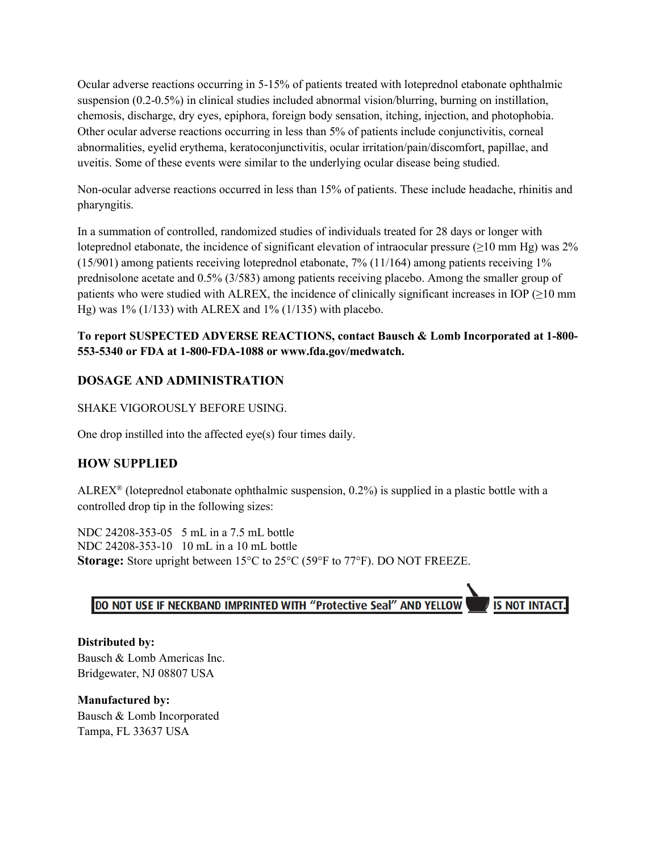Ocular adverse reactions occurring in 5-15% of patients treated with loteprednol etabonate ophthalmic suspension (0.2-0.5%) in clinical studies included abnormal vision/blurring, burning on instillation, chemosis, discharge, dry eyes, epiphora, foreign body sensation, itching, injection, and photophobia. Other ocular adverse reactions occurring in less than 5% of patients include conjunctivitis, corneal abnormalities, eyelid erythema, keratoconjunctivitis, ocular irritation/pain/discomfort, papillae, and uveitis. Some of these events were similar to the underlying ocular disease being studied.

Non-ocular adverse reactions occurred in less than 15% of patients. These include headache, rhinitis and pharyngitis.

In a summation of controlled, randomized studies of individuals treated for 28 days or longer with loteprednol etabonate, the incidence of significant elevation of intraocular pressure ( $\geq$ 10 mm Hg) was 2%  $(15/901)$  among patients receiving loteprednol etabonate, 7%  $(11/164)$  among patients receiving 1% prednisolone acetate and 0.5% (3/583) among patients receiving placebo. Among the smaller group of patients who were studied with ALREX, the incidence of clinically significant increases in IOP  $(≥10 \text{ mm})$ Hg) was 1% (1/133) with ALREX and 1% (1/135) with placebo.

## **To report SUSPECTED ADVERSE REACTIONS, contact Bausch & Lomb Incorporated at 1-800- 553-5340 or FDA at 1-800-FDA-1088 or www.fda.gov/medwatch.**

## **DOSAGE AND ADMINISTRATION**

SHAKE VIGOROUSLY BEFORE USING.

One drop instilled into the affected eye(s) four times daily.

## **HOW SUPPLIED**

ALREX<sup>®</sup> (loteprednol etabonate ophthalmic suspension,  $0.2\%$ ) is supplied in a plastic bottle with a controlled drop tip in the following sizes:

NDC 24208-353-05 5 mL in a 7.5 mL bottle NDC 24208-353-10 10 mL in a 10 mL bottle **Storage:** Store upright between 15°C to 25°C (59°F to 77°F). DO NOT FREEZE.

DO NOT USE IF NECKBAND IMPRINTED WITH "Protective Seal" AND YELLOW

**IS NOT INTACT.** 

**Distributed by:** Bausch & Lomb Americas Inc. Bridgewater, NJ 08807 USA

**Manufactured by:** Bausch & Lomb Incorporated Tampa, FL 33637 USA